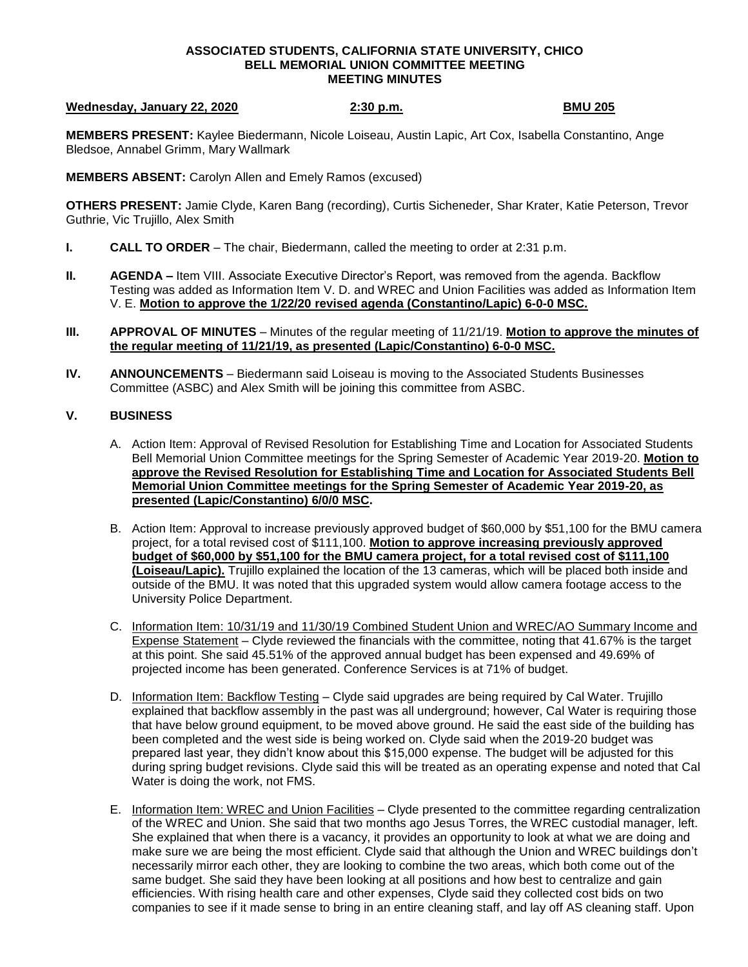### **ASSOCIATED STUDENTS, CALIFORNIA STATE UNIVERSITY, CHICO BELL MEMORIAL UNION COMMITTEE MEETING MEETING MINUTES**

## **Wednesday, January 22, 2020** 2:30 p.m. 2:30 p.m. BMU 205

**MEMBERS PRESENT:** Kaylee Biedermann, Nicole Loiseau, Austin Lapic, Art Cox, Isabella Constantino, Ange Bledsoe, Annabel Grimm, Mary Wallmark

**MEMBERS ABSENT:** Carolyn Allen and Emely Ramos (excused)

**OTHERS PRESENT:** Jamie Clyde, Karen Bang (recording), Curtis Sicheneder, Shar Krater, Katie Peterson, Trevor Guthrie, Vic Trujillo, Alex Smith

- **I. CALL TO ORDER**  The chair, Biedermann, called the meeting to order at 2:31 p.m.
- **II. AGENDA** Item VIII. Associate Executive Director's Report, was removed from the agenda. Backflow Testing was added as Information Item V. D. and WREC and Union Facilities was added as Information Item V. E. **Motion to approve the 1/22/20 revised agenda (Constantino/Lapic) 6-0-0 MSC.**
- **III. APPROVAL OF MINUTES** Minutes of the regular meeting of 11/21/19. **Motion to approve the minutes of the regular meeting of 11/21/19, as presented (Lapic/Constantino) 6-0-0 MSC.**
- **IV. ANNOUNCEMENTS** Biedermann said Loiseau is moving to the Associated Students Businesses Committee (ASBC) and Alex Smith will be joining this committee from ASBC.

# **V. BUSINESS**

- A. Action Item: Approval of Revised Resolution for Establishing Time and Location for Associated Students Bell Memorial Union Committee meetings for the Spring Semester of Academic Year 2019-20. **Motion to approve the Revised Resolution for Establishing Time and Location for Associated Students Bell Memorial Union Committee meetings for the Spring Semester of Academic Year 2019-20, as presented (Lapic/Constantino) 6/0/0 MSC.**
- B. Action Item: Approval to increase previously approved budget of \$60,000 by \$51,100 for the BMU camera project, for a total revised cost of \$111,100. **Motion to approve increasing previously approved budget of \$60,000 by \$51,100 for the BMU camera project, for a total revised cost of \$111,100 (Loiseau/Lapic).** Trujillo explained the location of the 13 cameras, which will be placed both inside and outside of the BMU. It was noted that this upgraded system would allow camera footage access to the University Police Department.
- C. Information Item: 10/31/19 and 11/30/19 Combined Student Union and WREC/AO Summary Income and Expense Statement – Clyde reviewed the financials with the committee, noting that 41.67% is the target at this point. She said 45.51% of the approved annual budget has been expensed and 49.69% of projected income has been generated. Conference Services is at 71% of budget.
- D. Information Item: Backflow Testing Clyde said upgrades are being required by Cal Water. Trujillo explained that backflow assembly in the past was all underground; however, Cal Water is requiring those that have below ground equipment, to be moved above ground. He said the east side of the building has been completed and the west side is being worked on. Clyde said when the 2019-20 budget was prepared last year, they didn't know about this \$15,000 expense. The budget will be adjusted for this during spring budget revisions. Clyde said this will be treated as an operating expense and noted that Cal Water is doing the work, not FMS.
- E. Information Item: WREC and Union Facilities Clyde presented to the committee regarding centralization of the WREC and Union. She said that two months ago Jesus Torres, the WREC custodial manager, left. She explained that when there is a vacancy, it provides an opportunity to look at what we are doing and make sure we are being the most efficient. Clyde said that although the Union and WREC buildings don't necessarily mirror each other, they are looking to combine the two areas, which both come out of the same budget. She said they have been looking at all positions and how best to centralize and gain efficiencies. With rising health care and other expenses, Clyde said they collected cost bids on two companies to see if it made sense to bring in an entire cleaning staff, and lay off AS cleaning staff. Upon